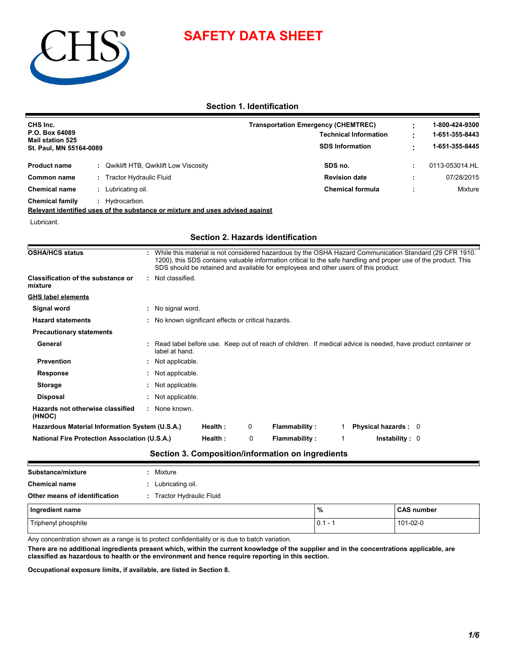



## **Section 1. Identification**

| CHS Inc.<br>P.O. Box 64089<br><b>Mail station 525</b><br>St. Paul, MN 55164-0089 |  |                                             | <b>Transportation Emergency (CHEMTREC)</b><br><b>Technical Information</b><br><b>SDS Information</b> | 1-800-424-9300<br>1-651-355-8443<br>1-651-355-8445 |
|----------------------------------------------------------------------------------|--|---------------------------------------------|------------------------------------------------------------------------------------------------------|----------------------------------------------------|
| <b>Product name</b>                                                              |  | <b>Qwiklift HTB, Qwiklift Low Viscosity</b> | SDS no.                                                                                              | 0113-053014.HL                                     |
| Common name                                                                      |  | <b>Tractor Hydraulic Fluid</b>              | <b>Revision date</b>                                                                                 | 07/28/2015                                         |
| <b>Chemical name</b>                                                             |  | Lubricating oil.                            | <b>Chemical formula</b>                                                                              | Mixture                                            |
| <b>Chemical family</b>                                                           |  | Hydrocarbon.                                |                                                                                                      |                                                    |

**Relevant identified uses of the substance or mixture and uses advised against**

Lubricant.

## **Section 2. Hazards identification**

| <b>OSHA/HCS status</b>                               | While this material is not considered hazardous by the OSHA Hazard Communication Standard (29 CFR 1910.<br>1200), this SDS contains valuable information critical to the safe handling and proper use of the product. This<br>SDS should be retained and available for employees and other users of this product. |
|------------------------------------------------------|-------------------------------------------------------------------------------------------------------------------------------------------------------------------------------------------------------------------------------------------------------------------------------------------------------------------|
| Classification of the substance or<br>mixture        | : Not classified.                                                                                                                                                                                                                                                                                                 |
| <b>GHS label elements</b>                            |                                                                                                                                                                                                                                                                                                                   |
| Signal word                                          | : No signal word.                                                                                                                                                                                                                                                                                                 |
| <b>Hazard statements</b>                             | : No known significant effects or critical hazards.                                                                                                                                                                                                                                                               |
| <b>Precautionary statements</b>                      |                                                                                                                                                                                                                                                                                                                   |
| General                                              | : Read label before use. Keep out of reach of children. If medical advice is needed, have product container or<br>label at hand.                                                                                                                                                                                  |
| <b>Prevention</b>                                    | : Not applicable.                                                                                                                                                                                                                                                                                                 |
| <b>Response</b>                                      | : Not applicable.                                                                                                                                                                                                                                                                                                 |
| <b>Storage</b>                                       | : Not applicable.                                                                                                                                                                                                                                                                                                 |
| <b>Disposal</b>                                      | : Not applicable.                                                                                                                                                                                                                                                                                                 |
| Hazards not otherwise classified<br>(HNOC)           | : None known.                                                                                                                                                                                                                                                                                                     |
| Hazardous Material Information System (U.S.A.)       | Health:<br><b>Flammability:</b><br><b>Physical hazards: 0</b><br>0                                                                                                                                                                                                                                                |
| <b>National Fire Protection Association (U.S.A.)</b> | <b>Flammability:</b><br>Health:<br>0<br>In stability: 0                                                                                                                                                                                                                                                           |

## **Section 3. Composition/information on ingredients**

| Substance/mixture             | Mixture                 |               |                   |
|-------------------------------|-------------------------|---------------|-------------------|
| <b>Chemical name</b>          | Lubricating oil.        |               |                   |
| Other means of identification | Tractor Hydraulic Fluid |               |                   |
| Ingredient name               |                         | $\frac{9}{6}$ | <b>CAS number</b> |
| Triphenyl phosphite           |                         | $0.1 -$       | 101-02-0          |

Any concentration shown as a range is to protect confidentiality or is due to batch variation.

**There are no additional ingredients present which, within the current knowledge of the supplier and in the concentrations applicable, are classified as hazardous to health or the environment and hence require reporting in this section.**

**Occupational exposure limits, if available, are listed in Section 8.**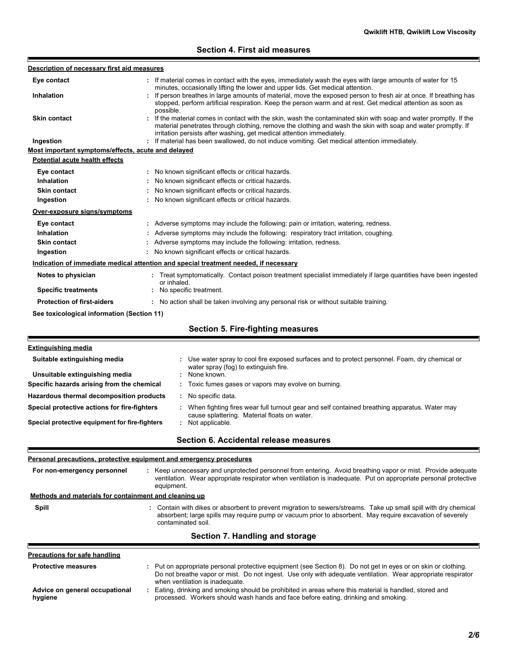## **Section 4. First aid measures**

| Description of necessary first aid measures                         |                                                                                                                                                                                                                                                                   |
|---------------------------------------------------------------------|-------------------------------------------------------------------------------------------------------------------------------------------------------------------------------------------------------------------------------------------------------------------|
| Eye contact                                                         | If material comes in contact with the eyes, immediately wash the eyes with large amounts of water for 15                                                                                                                                                          |
| Inhalation                                                          | minutes, occasionally lifting the lower and upper lids. Get medical attention.<br>: If person breathes in large amounts of material, move the exposed person to fresh air at once. If breathing has                                                               |
|                                                                     | stopped, perform artificial respiration. Keep the person warm and at rest. Get medical attention as soon as                                                                                                                                                       |
| <b>Skin contact</b>                                                 | possible.<br>: If the material comes in contact with the skin, wash the contaminated skin with soap and water promptly. If the                                                                                                                                    |
|                                                                     | material penetrates through clothing, remove the clothing and wash the skin with soap and water promptly. If                                                                                                                                                      |
|                                                                     | irritation persists after washing, get medical attention immediately.                                                                                                                                                                                             |
| Ingestion                                                           | : If material has been swallowed, do not induce vomiting. Get medical attention immediately.                                                                                                                                                                      |
| Most important symptoms/effects, acute and delayed                  |                                                                                                                                                                                                                                                                   |
| <b>Potential acute health effects</b>                               |                                                                                                                                                                                                                                                                   |
| Eye contact                                                         | : No known significant effects or critical hazards.                                                                                                                                                                                                               |
| Inhalation                                                          | : No known significant effects or critical hazards.                                                                                                                                                                                                               |
| <b>Skin contact</b>                                                 | : No known significant effects or critical hazards.                                                                                                                                                                                                               |
| Ingestion                                                           | : No known significant effects or critical hazards.                                                                                                                                                                                                               |
| Over-exposure signs/symptoms                                        |                                                                                                                                                                                                                                                                   |
| Eye contact                                                         | : Adverse symptoms may include the following: pain or irritation, watering, redness.                                                                                                                                                                              |
| <b>Inhalation</b>                                                   | Adverse symptoms may include the following: respiratory tract irritation, coughing.                                                                                                                                                                               |
| Skin contact                                                        | Adverse symptoms may include the following: irritation, redness.                                                                                                                                                                                                  |
| Ingestion                                                           | : No known significant effects or critical hazards.                                                                                                                                                                                                               |
|                                                                     | Indication of immediate medical attention and special treatment needed, if necessary                                                                                                                                                                              |
| Notes to physician                                                  | : Treat symptomatically. Contact poison treatment specialist immediately if large quantities have been ingested                                                                                                                                                   |
| <b>Specific treatments</b>                                          | or inhaled.<br>: No specific treatment.                                                                                                                                                                                                                           |
| <b>Protection of first-aiders</b>                                   | : No action shall be taken involving any personal risk or without suitable training.                                                                                                                                                                              |
|                                                                     |                                                                                                                                                                                                                                                                   |
| See toxicological information (Section 11)                          |                                                                                                                                                                                                                                                                   |
|                                                                     | <b>Section 5. Fire-fighting measures</b>                                                                                                                                                                                                                          |
| <b>Extinguishing media</b>                                          |                                                                                                                                                                                                                                                                   |
| Suitable extinguishing media                                        | Use water spray to cool fire exposed surfaces and to protect personnel. Foam, dry chemical or                                                                                                                                                                     |
|                                                                     | water spray (fog) to extinguish fire.                                                                                                                                                                                                                             |
| Unsuitable extinguishing media                                      | None known.                                                                                                                                                                                                                                                       |
| Specific hazards arising from the chemical                          | Toxic fumes gases or vapors may evolve on burning.                                                                                                                                                                                                                |
| Hazardous thermal decomposition products                            | No specific data.                                                                                                                                                                                                                                                 |
| Special protective actions for fire-fighters                        | : When fighting fires wear full turnout gear and self contained breathing apparatus. Water may<br>cause splattering. Material floats on water.                                                                                                                    |
| Special protective equipment for fire-fighters                      | : Not applicable.                                                                                                                                                                                                                                                 |
|                                                                     | Section 6. Accidental release measures                                                                                                                                                                                                                            |
| Personal precautions, protective equipment and emergency procedures |                                                                                                                                                                                                                                                                   |
|                                                                     |                                                                                                                                                                                                                                                                   |
| For non-emergency personnel                                         | : Keep unnecessary and unprotected personnel from entering. Avoid breathing vapor or mist. Provide adequate<br>ventilation. Wear appropriate respirator when ventilation is inadequate. Put on appropriate personal protective<br>equipment.                      |
| Methods and materials for containment and cleaning up               |                                                                                                                                                                                                                                                                   |
| <b>Spill</b>                                                        | : Contain with dikes or absorbent to prevent migration to sewers/streams. Take up small spill with dry chemical                                                                                                                                                   |
|                                                                     | absorbent; large spills may require pump or vacuum prior to absorbent. May require excavation of severely<br>contaminated soil.                                                                                                                                   |
|                                                                     | Section 7. Handling and storage                                                                                                                                                                                                                                   |
|                                                                     |                                                                                                                                                                                                                                                                   |
| <b>Precautions for safe handling</b>                                |                                                                                                                                                                                                                                                                   |
| <b>Protective measures</b>                                          |                                                                                                                                                                                                                                                                   |
|                                                                     | : Put on appropriate personal protective equipment (see Section 8). Do not get in eyes or on skin or clothing.<br>Do not breathe vapor or mist. Do not ingest. Use only with adequate ventilation. Wear appropriate respirator<br>when ventilation is inadequate. |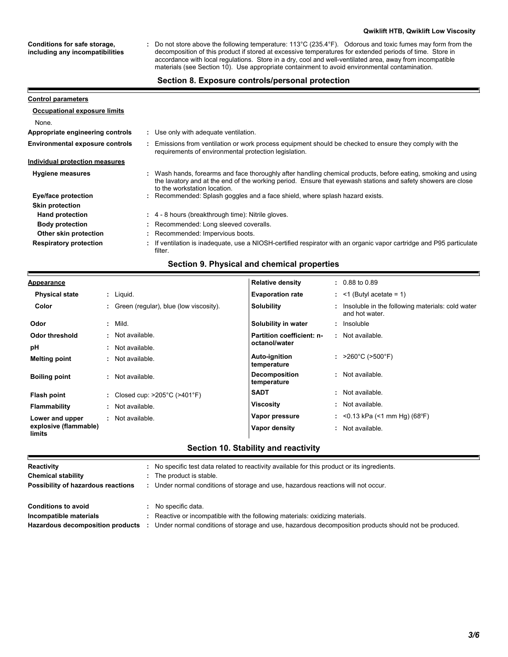#### **Qwiklift HTB, Qwiklift Low Viscosity**

**Conditions for safe storage, including any incompatibilities**

Р

Do not store above the following temperature: 113°C (235.4°F). Odorous and toxic fumes may form from the decomposition of this product if stored at excessive temperatures for extended periods of time. Store in accordance with local regulations. Store in a dry, cool and well-ventilated area, away from incompatible materials (see Section 10). Use appropriate containment to avoid environmental contamination. **:**

#### **Section 8. Exposure controls/personal protection**

| <b>Control parameters</b>           |                                                                                                                                                                                                                                                               |
|-------------------------------------|---------------------------------------------------------------------------------------------------------------------------------------------------------------------------------------------------------------------------------------------------------------|
| <b>Occupational exposure limits</b> |                                                                                                                                                                                                                                                               |
| None.                               |                                                                                                                                                                                                                                                               |
| Appropriate engineering controls    | : Use only with adequate ventilation.                                                                                                                                                                                                                         |
| Environmental exposure controls     | Emissions from ventilation or work process equipment should be checked to ensure they comply with the<br>requirements of environmental protection legislation.                                                                                                |
| Individual protection measures      |                                                                                                                                                                                                                                                               |
| <b>Hygiene measures</b>             | : Wash hands, forearms and face thoroughly after handling chemical products, before eating, smoking and using<br>the lavatory and at the end of the working period. Ensure that eyewash stations and safety showers are close<br>to the workstation location. |
| Eye/face protection                 | : Recommended: Splash goggles and a face shield, where splash hazard exists.                                                                                                                                                                                  |
| <b>Skin protection</b>              |                                                                                                                                                                                                                                                               |
| <b>Hand protection</b>              | : 4 - 8 hours (breakthrough time): Nitrile gloves.                                                                                                                                                                                                            |
| <b>Body protection</b>              | : Recommended: Long sleeved coveralls.                                                                                                                                                                                                                        |
| Other skin protection               | : Recommended: Impervious boots.                                                                                                                                                                                                                              |
| <b>Respiratory protection</b>       | : If ventilation is inadequate, use a NIOSH-certified respirator with an organic vapor cartridge and P95 particulate<br>filter.                                                                                                                               |

## **Section 9. Physical and chemical properties**

| <u>Appearance</u>               |                                                    | <b>Relative density</b>             | $: 0.88$ to 0.89                                                   |
|---------------------------------|----------------------------------------------------|-------------------------------------|--------------------------------------------------------------------|
| <b>Physical state</b>           | : Liquid.                                          | <b>Evaporation rate</b>             | $:$ <1 (Butyl acetate = 1)                                         |
| Color                           | Green (regular), blue (low viscosity).             | <b>Solubility</b>                   | Insoluble in the following materials: cold water<br>and hot water. |
| Odor                            | $:$ Mild.                                          | Solubility in water                 | : Insoluble                                                        |
| Odor threshold                  | : Not available.                                   | Partition coefficient: n-           | : Not available.                                                   |
| рH                              | Not available.                                     | octanol/water                       |                                                                    |
| <b>Melting point</b>            | Not available.<br>÷.                               | <b>Auto-ignition</b><br>temperature | : $>260^{\circ}$ C ( $>500^{\circ}$ F)                             |
| <b>Boiling point</b>            | Not available.<br>÷.                               | <b>Decomposition</b><br>temperature | : Not available.                                                   |
| Flash point                     | : Closed cup: $>205^{\circ}$ C ( $>401^{\circ}$ F) | <b>SADT</b>                         | : Not available.                                                   |
| <b>Flammability</b>             | Not available.<br>÷.                               | <b>Viscosity</b>                    | : Not available.                                                   |
| Lower and upper                 | Not available.                                     | Vapor pressure                      | : $<$ 0.13 kPa (<1 mm Hg) (68°F)                                   |
| explosive (flammable)<br>limits |                                                    | Vapor density                       | : Not available.                                                   |

## **Section 10. Stability and reactivity**

| Reactivity<br><b>Chemical stability</b><br>Possibility of hazardous reactions            | No specific test data related to reactivity available for this product or its ingredients.<br>The product is stable.<br>Under normal conditions of storage and use, hazardous reactions will not occur.  |
|------------------------------------------------------------------------------------------|----------------------------------------------------------------------------------------------------------------------------------------------------------------------------------------------------------|
| <b>Conditions to avoid</b><br>Incompatible materials<br>Hazardous decomposition products | No specific data.<br>Reactive or incompatible with the following materials: oxidizing materials.<br>Under normal conditions of storage and use, hazardous decomposition products should not be produced. |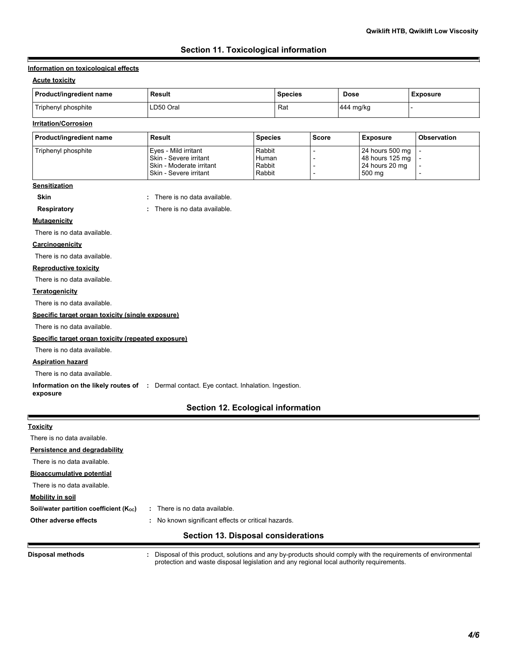## **Section 11. Toxicological information**

#### **Information on toxicological effects**

#### **Acute toxicity**

F

| Product/ingredient name | Result    | <b>Species</b> | Dose      | <b>Exposure</b> |
|-------------------------|-----------|----------------|-----------|-----------------|
| Triphenyl phosphite     | LD50 Oral | Rat            | 444 mg/kg |                 |

## **Irritation/Corrosion**

| Product/ingredient name | Result                     | <b>Species</b> | <b>Score</b> | <b>Exposure</b> | <b>Observation</b> |
|-------------------------|----------------------------|----------------|--------------|-----------------|--------------------|
| Triphenyl phosphite     | I Eves - Mild irritant     | Rabbit         |              | 24 hours 500 mg |                    |
|                         | Skin - Severe irritant     | Human          |              | 48 hours 125 mg |                    |
|                         | I Skin - Moderate irritant | Rabbit         |              | 24 hours 20 mg  |                    |
|                         | Skin - Severe irritant     | Rabbit         |              | 500 ma          |                    |

#### **Sensitization**

**Skin :** There is no data available. **Respiratory :** There is no data available. There is no data available.

**Mutagenicity**

There is no data available.

#### **Carcinogenicity**

There is no data available.

### **Reproductive toxicity**

There is no data available.

#### **Teratogenicity**

There is no data available.

#### **Specific target organ toxicity (single exposure)**

There is no data available.

#### **Specific target organ toxicity (repeated exposure)**

There is no data available.

## **Aspiration hazard**

F

Е

There is no data available.

**Information on the likely routes of :** Dermal contact. Eye contact. Inhalation. Ingestion. **exposure**

## **Section 12. Ecological information**

| <b>Toxicity</b>                                     |                                                         |
|-----------------------------------------------------|---------------------------------------------------------|
| There is no data available.                         |                                                         |
| Persistence and degradability                       |                                                         |
| There is no data available.                         |                                                         |
| <b>Bioaccumulative potential</b>                    |                                                         |
| There is no data available.                         |                                                         |
| Mobility in soil                                    |                                                         |
| Soil/water partition coefficient (K <sub>oc</sub> ) | : There is no data available.                           |
| Other adverse effects                               | No known significant effects or critical hazards.<br>÷. |
|                                                     | <b>Section 13. Disposal considerations</b>              |

**Disposal methods :**

Disposal of this product, solutions and any by-products should comply with the requirements of environmental protection and waste disposal legislation and any regional local authority requirements.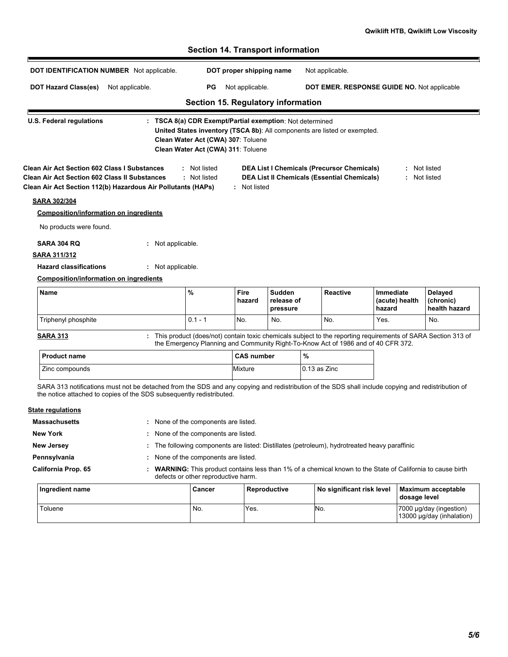|                                                                                                                                                                                                                            | DOT IDENTIFICATION NUMBER Not applicable. |                                                                                                                                                                                                                   | DOT proper shipping name |                                         |              | Not applicable.                                                                                         |                                             |                                       |
|----------------------------------------------------------------------------------------------------------------------------------------------------------------------------------------------------------------------------|-------------------------------------------|-------------------------------------------------------------------------------------------------------------------------------------------------------------------------------------------------------------------|--------------------------|-----------------------------------------|--------------|---------------------------------------------------------------------------------------------------------|---------------------------------------------|---------------------------------------|
| <b>DOT Hazard Class(es)</b>                                                                                                                                                                                                | Not applicable.                           | РG                                                                                                                                                                                                                | Not applicable.          |                                         |              |                                                                                                         | DOT EMER. RESPONSE GUIDE NO. Not applicable |                                       |
|                                                                                                                                                                                                                            |                                           | Section 15. Regulatory information                                                                                                                                                                                |                          |                                         |              |                                                                                                         |                                             |                                       |
| <b>U.S. Federal regulations</b>                                                                                                                                                                                            |                                           | : TSCA 8(a) CDR Exempt/Partial exemption: Not determined<br>United States inventory (TSCA 8b): All components are listed or exempted.<br>Clean Water Act (CWA) 307: Toluene<br>Clean Water Act (CWA) 311: Toluene |                          |                                         |              |                                                                                                         |                                             |                                       |
| <b>Clean Air Act Section 602 Class I Substances</b><br><b>Clean Air Act Section 602 Class II Substances</b><br>Clean Air Act Section 112(b) Hazardous Air Pollutants (HAPs)                                                |                                           | : Not listed<br>: Not listed                                                                                                                                                                                      | : Not listed             |                                         |              | <b>DEA List I Chemicals (Precursor Chemicals)</b><br><b>DEA List II Chemicals (Essential Chemicals)</b> |                                             | : Not listed<br>: Not listed          |
| <b>SARA 302/304</b>                                                                                                                                                                                                        |                                           |                                                                                                                                                                                                                   |                          |                                         |              |                                                                                                         |                                             |                                       |
| <b>Composition/information on ingredients</b>                                                                                                                                                                              |                                           |                                                                                                                                                                                                                   |                          |                                         |              |                                                                                                         |                                             |                                       |
| No products were found.                                                                                                                                                                                                    |                                           |                                                                                                                                                                                                                   |                          |                                         |              |                                                                                                         |                                             |                                       |
| <b>SARA 304 RQ</b>                                                                                                                                                                                                         | : Not applicable.                         |                                                                                                                                                                                                                   |                          |                                         |              |                                                                                                         |                                             |                                       |
| <b>SARA 311/312</b>                                                                                                                                                                                                        |                                           |                                                                                                                                                                                                                   |                          |                                         |              |                                                                                                         |                                             |                                       |
| <b>Hazard classifications</b>                                                                                                                                                                                              | : Not applicable.                         |                                                                                                                                                                                                                   |                          |                                         |              |                                                                                                         |                                             |                                       |
| <b>Composition/information on ingredients</b>                                                                                                                                                                              |                                           |                                                                                                                                                                                                                   |                          |                                         |              |                                                                                                         |                                             |                                       |
| Name                                                                                                                                                                                                                       |                                           | %                                                                                                                                                                                                                 | Fire<br>hazard           | <b>Sudden</b><br>release of<br>pressure |              | <b>Reactive</b>                                                                                         | Immediate<br>(acute) health<br>hazard       | Delayed<br>(chronic)<br>health hazard |
| Triphenyl phosphite                                                                                                                                                                                                        |                                           | $0.1 - 1$                                                                                                                                                                                                         | No.                      | No.                                     |              | No.                                                                                                     | Yes.                                        | No.                                   |
| <b>SARA 313</b>                                                                                                                                                                                                            |                                           | : This product (does/not) contain toxic chemicals subject to the reporting requirements of SARA Section 313 of<br>the Emergency Planning and Community Right-To-Know Act of 1986 and of 40 CFR 372.               |                          |                                         |              |                                                                                                         |                                             |                                       |
|                                                                                                                                                                                                                            |                                           |                                                                                                                                                                                                                   | <b>CAS number</b>        |                                         | %            |                                                                                                         |                                             |                                       |
| <b>Product name</b>                                                                                                                                                                                                        |                                           |                                                                                                                                                                                                                   |                          |                                         |              |                                                                                                         |                                             |                                       |
| Zinc compounds                                                                                                                                                                                                             |                                           |                                                                                                                                                                                                                   | Mixture                  |                                         | 0.13 as Zinc |                                                                                                         |                                             |                                       |
| SARA 313 notifications must not be detached from the SDS and any copying and redistribution of the SDS shall include copying and redistribution of<br>the notice attached to copies of the SDS subsequently redistributed. |                                           |                                                                                                                                                                                                                   |                          |                                         |              |                                                                                                         |                                             |                                       |
|                                                                                                                                                                                                                            |                                           |                                                                                                                                                                                                                   |                          |                                         |              |                                                                                                         |                                             |                                       |
|                                                                                                                                                                                                                            |                                           | : None of the components are listed.                                                                                                                                                                              |                          |                                         |              |                                                                                                         |                                             |                                       |
|                                                                                                                                                                                                                            |                                           | : None of the components are listed.                                                                                                                                                                              |                          |                                         |              |                                                                                                         |                                             |                                       |
|                                                                                                                                                                                                                            |                                           | The following components are listed: Distillates (petroleum), hydrotreated heavy paraffinic                                                                                                                       |                          |                                         |              |                                                                                                         |                                             |                                       |
|                                                                                                                                                                                                                            |                                           | None of the components are listed.                                                                                                                                                                                |                          |                                         |              |                                                                                                         |                                             |                                       |
| <b>Massachusetts</b><br><b>New York</b><br><b>New Jersey</b><br>California Prop. 65                                                                                                                                        |                                           | WARNING: This product contains less than 1% of a chemical known to the State of California to cause birth<br>defects or other reproductive harm.                                                                  |                          |                                         |              |                                                                                                         |                                             |                                       |
| <u>State regulations</u><br>Pennsylvania<br>Ingredient name                                                                                                                                                                |                                           | Cancer                                                                                                                                                                                                            |                          | Reproductive                            |              | No significant risk level                                                                               | dosage level                                | Maximum acceptable                    |

# **Section 14. Transport information**